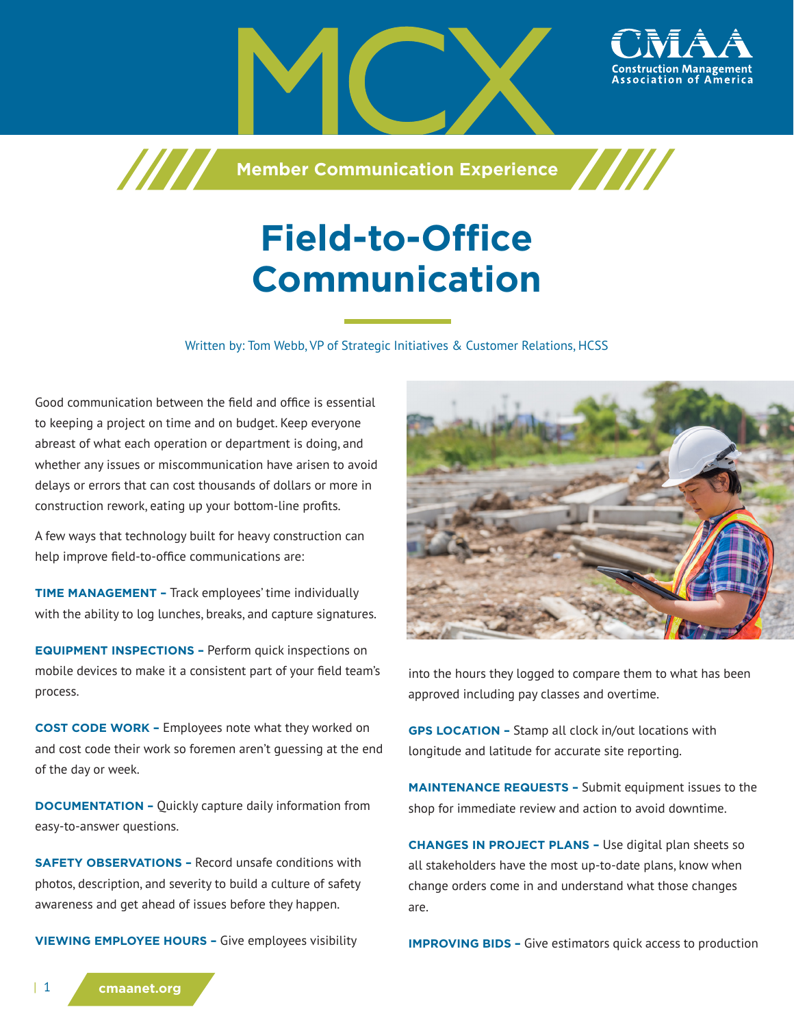

**Field-to-Office Communication**

**Member Communication Experience** 

Written by: Tom Webb, VP of Strategic Initiatives & Customer Relations, HCSS

Good communication between the field and office is essential to keeping a project on time and on budget. Keep everyone abreast of what each operation or department is doing, and whether any issues or miscommunication have arisen to avoid delays or errors that can cost thousands of dollars or more in construction rework, eating up your bottom-line profits.

/////

A few ways that technology built for heavy construction can help improve field-to-office communications are:

**TIME MANAGEMENT –** Track employees' time individually with the ability to log lunches, breaks, and capture signatures.

**EQUIPMENT INSPECTIONS –** Perform quick inspections on mobile devices to make it a consistent part of your field team's process.

**COST CODE WORK –** Employees note what they worked on and cost code their work so foremen aren't guessing at the end of the day or week.

**DOCUMENTATION - Quickly capture daily information from** easy-to-answer questions.

**SAFETY OBSERVATIONS –** Record unsafe conditions with photos, description, and severity to build a culture of safety awareness and get ahead of issues before they happen.

**VIEWING EMPLOYEE HOURS –** Give employees visibility



into the hours they logged to compare them to what has been approved including pay classes and overtime.

**GPS LOCATION –** Stamp all clock in/out locations with longitude and latitude for accurate site reporting.

**MAINTENANCE REQUESTS –** Submit equipment issues to the shop for immediate review and action to avoid downtime.

**CHANGES IN PROJECT PLANS –** Use digital plan sheets so all stakeholders have the most up-to-date plans, know when change orders come in and understand what those changes are.

**IMPROVING BIDS - Give estimators quick access to production**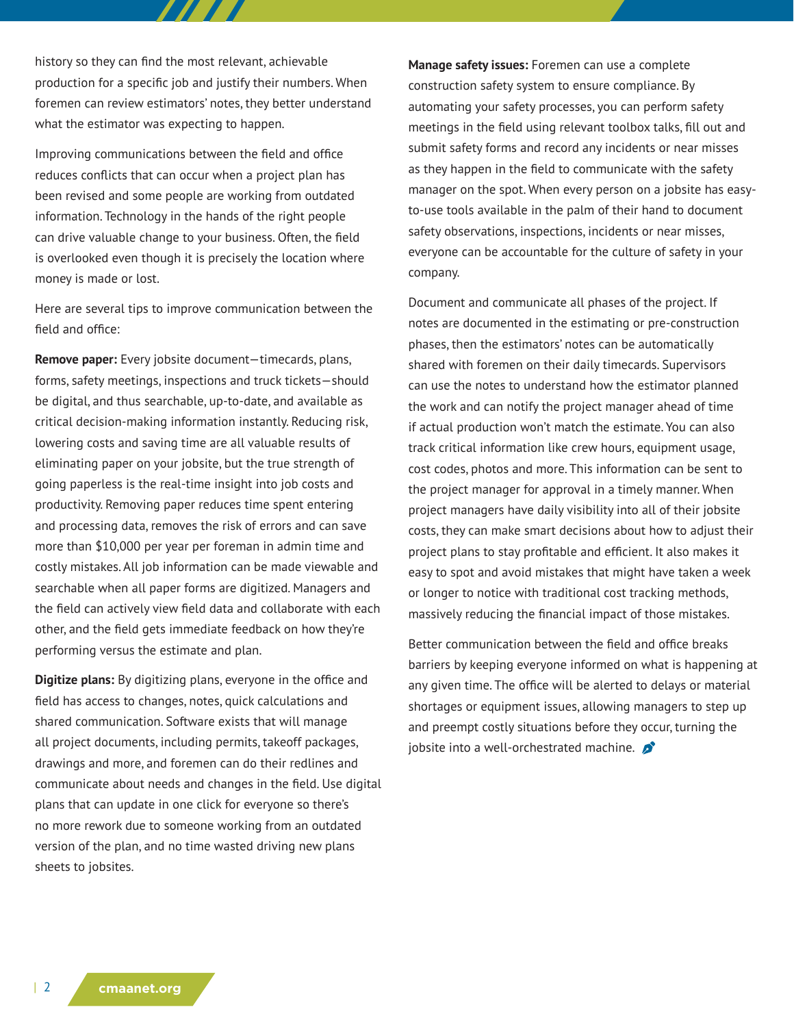history so they can find the most relevant, achievable production for a specific job and justify their numbers. When foremen can review estimators' notes, they better understand what the estimator was expecting to happen.

77 T T

Improving communications between the field and office reduces conflicts that can occur when a project plan has been revised and some people are working from outdated information. Technology in the hands of the right people can drive valuable change to your business. Often, the field is overlooked even though it is precisely the location where money is made or lost.

Here are several tips to improve communication between the field and office:

**Remove paper:** Every jobsite document—timecards, plans, forms, safety meetings, inspections and truck tickets—should be digital, and thus searchable, up-to-date, and available as critical decision-making information instantly. Reducing risk, lowering costs and saving time are all valuable results of eliminating paper on your jobsite, but the true strength of going paperless is the real-time insight into job costs and productivity. Removing paper reduces time spent entering and processing data, removes the risk of errors and can save more than \$10,000 per year per foreman in admin time and costly mistakes. All job information can be made viewable and searchable when all paper forms are digitized. Managers and the field can actively view field data and collaborate with each other, and the field gets immediate feedback on how they're performing versus the estimate and plan.

**Digitize plans:** By digitizing plans, everyone in the office and field has access to changes, notes, quick calculations and shared communication. Software exists that will manage all project documents, including permits, takeoff packages, drawings and more, and foremen can do their redlines and communicate about needs and changes in the field. Use digital plans that can update in one click for everyone so there's no more rework due to someone working from an outdated version of the plan, and no time wasted driving new plans sheets to jobsites.

**Manage safety issues:** Foremen can use a complete construction safety system to ensure compliance. By automating your safety processes, you can perform safety meetings in the field using relevant toolbox talks, fill out and submit safety forms and record any incidents or near misses as they happen in the field to communicate with the safety manager on the spot. When every person on a jobsite has easyto-use tools available in the palm of their hand to document safety observations, inspections, incidents or near misses, everyone can be accountable for the culture of safety in your company.

Document and communicate all phases of the project. If notes are documented in the estimating or pre-construction phases, then the estimators' notes can be automatically shared with foremen on their daily timecards. Supervisors can use the notes to understand how the estimator planned the work and can notify the project manager ahead of time if actual production won't match the estimate. You can also track critical information like crew hours, equipment usage, cost codes, photos and more. This information can be sent to the project manager for approval in a timely manner. When project managers have daily visibility into all of their jobsite costs, they can make smart decisions about how to adjust their project plans to stay profitable and efficient. It also makes it easy to spot and avoid mistakes that might have taken a week or longer to notice with traditional cost tracking methods, massively reducing the financial impact of those mistakes.

Better communication between the field and office breaks barriers by keeping everyone informed on what is happening at any given time. The office will be alerted to delays or material shortages or equipment issues, allowing managers to step up and preempt costly situations before they occur, turning the jobsite into a well-orchestrated machine.  $\beta$